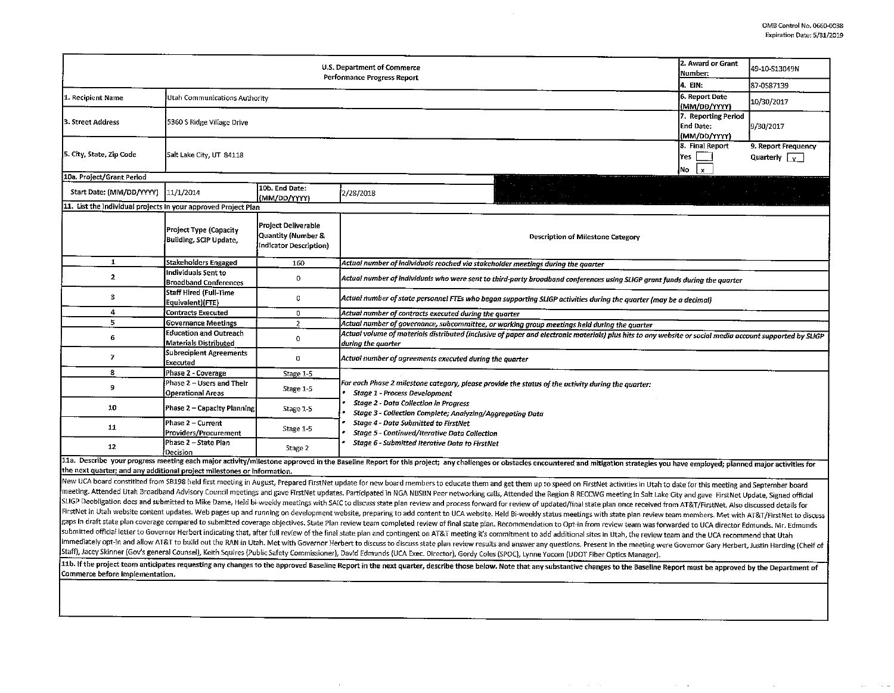. The second constraints of the second constraints of the second constraint  $\mathcal{L}_\text{c}$ 

|                                                                                                                                                                                                                                                                                                                                                                                                                                                                  | 2. Award or Grant<br>Number:                                  | 49-10-S13049N                                                       |                                                                                                                                                                                                                                                                                                                                                                                                                                                                  |                                              |                                                  |  |  |  |  |
|------------------------------------------------------------------------------------------------------------------------------------------------------------------------------------------------------------------------------------------------------------------------------------------------------------------------------------------------------------------------------------------------------------------------------------------------------------------|---------------------------------------------------------------|---------------------------------------------------------------------|------------------------------------------------------------------------------------------------------------------------------------------------------------------------------------------------------------------------------------------------------------------------------------------------------------------------------------------------------------------------------------------------------------------------------------------------------------------|----------------------------------------------|--------------------------------------------------|--|--|--|--|
|                                                                                                                                                                                                                                                                                                                                                                                                                                                                  | 4. EIN:                                                       | 87-0587139                                                          |                                                                                                                                                                                                                                                                                                                                                                                                                                                                  |                                              |                                                  |  |  |  |  |
| 1. Recipient Name                                                                                                                                                                                                                                                                                                                                                                                                                                                | Utah Communications Authority                                 | 6. Report Date<br>(MM/DD/YYYY)                                      | 10/30/2017                                                                                                                                                                                                                                                                                                                                                                                                                                                       |                                              |                                                  |  |  |  |  |
| 3. Street Address                                                                                                                                                                                                                                                                                                                                                                                                                                                | 5360 S Ridge Village Drive                                    | 7. Reporting Period<br><b>End Date:</b><br>(MM/DD/YYYY)             | 9/30/2017                                                                                                                                                                                                                                                                                                                                                                                                                                                        |                                              |                                                  |  |  |  |  |
| 5. City, State, Zip Code                                                                                                                                                                                                                                                                                                                                                                                                                                         | Salt Lake City, UT 84118                                      |                                                                     |                                                                                                                                                                                                                                                                                                                                                                                                                                                                  | 8. Final Report<br>Yes<br>No<br>$\mathbf{x}$ | 9. Report Frequency<br>Quarterly $\sqrt{\gamma}$ |  |  |  |  |
| 10a. Project/Grant Period                                                                                                                                                                                                                                                                                                                                                                                                                                        |                                                               |                                                                     |                                                                                                                                                                                                                                                                                                                                                                                                                                                                  |                                              |                                                  |  |  |  |  |
| Start Date: (MM/DD/YYYY)                                                                                                                                                                                                                                                                                                                                                                                                                                         | 11/1/2014                                                     | 10b. End Date:<br>(MM/DD/YYYY)                                      | 2/28/2018                                                                                                                                                                                                                                                                                                                                                                                                                                                        |                                              |                                                  |  |  |  |  |
| 11. List the individual projects in your approved Project Plan                                                                                                                                                                                                                                                                                                                                                                                                   |                                                               |                                                                     |                                                                                                                                                                                                                                                                                                                                                                                                                                                                  |                                              |                                                  |  |  |  |  |
|                                                                                                                                                                                                                                                                                                                                                                                                                                                                  | <b>Project Type (Capacity</b><br>Building, SCIP Update,       | Project Deliverable<br>Quantity (Number &<br>Indicator Description) | <b>Description of Milestone Category</b>                                                                                                                                                                                                                                                                                                                                                                                                                         |                                              |                                                  |  |  |  |  |
| $\mathbf{1}$                                                                                                                                                                                                                                                                                                                                                                                                                                                     | Stakeholders Engaged                                          | 160                                                                 | Actual number of individuals reached via stakeholder meetings during the quarter                                                                                                                                                                                                                                                                                                                                                                                 |                                              |                                                  |  |  |  |  |
| $\mathbf{2}$                                                                                                                                                                                                                                                                                                                                                                                                                                                     | Individuals Sent to<br><b>Broadband Conferences</b>           | $\mathbf{0}$                                                        | Actual number of individuals who were sent to third-party broadband conferences using SLIGP grant funds during the quarter                                                                                                                                                                                                                                                                                                                                       |                                              |                                                  |  |  |  |  |
| 3                                                                                                                                                                                                                                                                                                                                                                                                                                                                | Staff Hired (Full-Time<br>Equivalent)(FTE)                    | $\mathbf 0$                                                         | Actual number of state personnel FTEs who began supporting SLIGP activities during the quarter (may be a decimal)                                                                                                                                                                                                                                                                                                                                                |                                              |                                                  |  |  |  |  |
| 4                                                                                                                                                                                                                                                                                                                                                                                                                                                                | <b>Contracts Executed</b>                                     | $\mathbf{0}$                                                        | Actual number of contracts executed during the quarter                                                                                                                                                                                                                                                                                                                                                                                                           |                                              |                                                  |  |  |  |  |
| 5                                                                                                                                                                                                                                                                                                                                                                                                                                                                | <b>Governance Meetings</b>                                    | $\overline{2}$                                                      | Actual number of governance, subcommittee, or working group meetings held during the quarter                                                                                                                                                                                                                                                                                                                                                                     |                                              |                                                  |  |  |  |  |
| 6                                                                                                                                                                                                                                                                                                                                                                                                                                                                | <b>Education and Outreach</b><br><b>Materials Distributed</b> | $\mathbf{O}$                                                        | Actual volume of materials distributed (inclusive of paper and electronic materials) plus hits to any website or social media account supported by SLIGP<br>during the quarter                                                                                                                                                                                                                                                                                   |                                              |                                                  |  |  |  |  |
| 7                                                                                                                                                                                                                                                                                                                                                                                                                                                                | <b>Subrecipient Agreements</b><br>Executed                    | 0                                                                   | Actual number of agreements executed during the quarter                                                                                                                                                                                                                                                                                                                                                                                                          |                                              |                                                  |  |  |  |  |
| 8                                                                                                                                                                                                                                                                                                                                                                                                                                                                | Phase 2 - Coverage                                            | Stage 1-5                                                           |                                                                                                                                                                                                                                                                                                                                                                                                                                                                  |                                              |                                                  |  |  |  |  |
| 9                                                                                                                                                                                                                                                                                                                                                                                                                                                                | Phase 2 - Users and Their<br><b>Operational Areas</b>         | Stage 1-5                                                           | For each Phase 2 milestone category, please provide the status of the activity during the quarter:<br><b>Stage 1 - Process Development</b>                                                                                                                                                                                                                                                                                                                       |                                              |                                                  |  |  |  |  |
| 10                                                                                                                                                                                                                                                                                                                                                                                                                                                               | Phase 2 - Capacity Planning                                   | Stage 1-5                                                           | <b>Stage 2 - Data Collection in Progress</b><br>Stage 3 - Collection Complete; Analyzing/Aggregating Data                                                                                                                                                                                                                                                                                                                                                        |                                              |                                                  |  |  |  |  |
| 11                                                                                                                                                                                                                                                                                                                                                                                                                                                               | Phase 2 - Current<br>Providers/Procurement                    | Stage 1-5                                                           | <b>Stage 4 - Data Submitted to FirstNet</b><br><b>Stage 5 - Continued/Iterative Data Collection</b>                                                                                                                                                                                                                                                                                                                                                              |                                              |                                                  |  |  |  |  |
| 12                                                                                                                                                                                                                                                                                                                                                                                                                                                               | Phase 2 - State Plan<br>Decision                              | Stage 2                                                             | Stage 6 - Submitted Iterative Data to FirstNet                                                                                                                                                                                                                                                                                                                                                                                                                   |                                              |                                                  |  |  |  |  |
|                                                                                                                                                                                                                                                                                                                                                                                                                                                                  |                                                               |                                                                     | 11a. Describe your progress meeting each major activity/milestone approved in the Baseline Report for this project; any challenges or obstacles encountered and mitigation strategies you have employed; planned major activit                                                                                                                                                                                                                                   |                                              |                                                  |  |  |  |  |
| the next quarter; and any additional project milestones or information.                                                                                                                                                                                                                                                                                                                                                                                          |                                                               |                                                                     |                                                                                                                                                                                                                                                                                                                                                                                                                                                                  |                                              |                                                  |  |  |  |  |
|                                                                                                                                                                                                                                                                                                                                                                                                                                                                  |                                                               |                                                                     | New UCA board constitited from SB198 held first meeting in August, Prepared FirstNet update for new board members to educate them and get them up to speed on FirstNet activities in Utah to date for this meeting and Septemb                                                                                                                                                                                                                                   |                                              |                                                  |  |  |  |  |
|                                                                                                                                                                                                                                                                                                                                                                                                                                                                  |                                                               |                                                                     | meeting. Attended Utah Broadband Advisory Council meetings and gave FirstNet updates. Participated in NGA NBSBN Peer networking calls, Attended the Region 8 RECCWG meeting in Salt Lake City and gave FirstNet Update, Signed                                                                                                                                                                                                                                   |                                              |                                                  |  |  |  |  |
|                                                                                                                                                                                                                                                                                                                                                                                                                                                                  |                                                               |                                                                     | SLIGP Deobligation docs and submitted to Mike Dame, Held bi-weekly meetings with SAIC to discuss state plan review and process forward for review of updated/final state plan once received from AT&T/FirstNet. Also discussed<br>FirstNet in Utah website content updates. Web pages up and running on development website, preparing to add content to UCA website. Held Bi-weekly status meetings with state plan review team members. Met with AT&T/FirstNet |                                              |                                                  |  |  |  |  |
|                                                                                                                                                                                                                                                                                                                                                                                                                                                                  |                                                               |                                                                     |                                                                                                                                                                                                                                                                                                                                                                                                                                                                  |                                              |                                                  |  |  |  |  |
| gaps in draft state plan coverage compared to submitted coverage objectives. State Plan review team completed review of final state plan. Recommendation to Opt-in from review team was forwarded to UCA director Edmunds. Mr.<br>submitted official letter to Governor Herbert indicating that, after full review of the final state plan and contingent on AT&T meeting it's commitment to add additional sites in Utah, the review team and the UCA recommend |                                                               |                                                                     |                                                                                                                                                                                                                                                                                                                                                                                                                                                                  |                                              |                                                  |  |  |  |  |
| immediately opt-in and allow AT&T to build out the RAN in Utah. Met with Governor Herbert to discuss to discuss state plan review results and answer any questions. Present in the meeting were Governor Gary Herbert, Justin                                                                                                                                                                                                                                    |                                                               |                                                                     |                                                                                                                                                                                                                                                                                                                                                                                                                                                                  |                                              |                                                  |  |  |  |  |
| Staff), Jacey Skinner (Gov's general Counsel), Keith Squires (Public Safety Commissioner), David Edmunds (UCA Exec. Director), Gordy Coles (SPOC), Lynne Yocom (UDOT Fiber Optics Manager).                                                                                                                                                                                                                                                                      |                                                               |                                                                     |                                                                                                                                                                                                                                                                                                                                                                                                                                                                  |                                              |                                                  |  |  |  |  |
| Commerce before implementation.                                                                                                                                                                                                                                                                                                                                                                                                                                  |                                                               |                                                                     | 11b. If the project team anticipates requesting any changes to the approved Baseline Report in the next quarter, describe those below. Note that any substantive changes to the Baseline Report must be approved by the Depart                                                                                                                                                                                                                                   |                                              |                                                  |  |  |  |  |
|                                                                                                                                                                                                                                                                                                                                                                                                                                                                  |                                                               |                                                                     |                                                                                                                                                                                                                                                                                                                                                                                                                                                                  |                                              |                                                  |  |  |  |  |
|                                                                                                                                                                                                                                                                                                                                                                                                                                                                  |                                                               |                                                                     |                                                                                                                                                                                                                                                                                                                                                                                                                                                                  |                                              |                                                  |  |  |  |  |

 $\sim 10^{11}$  km s  $^{-1}$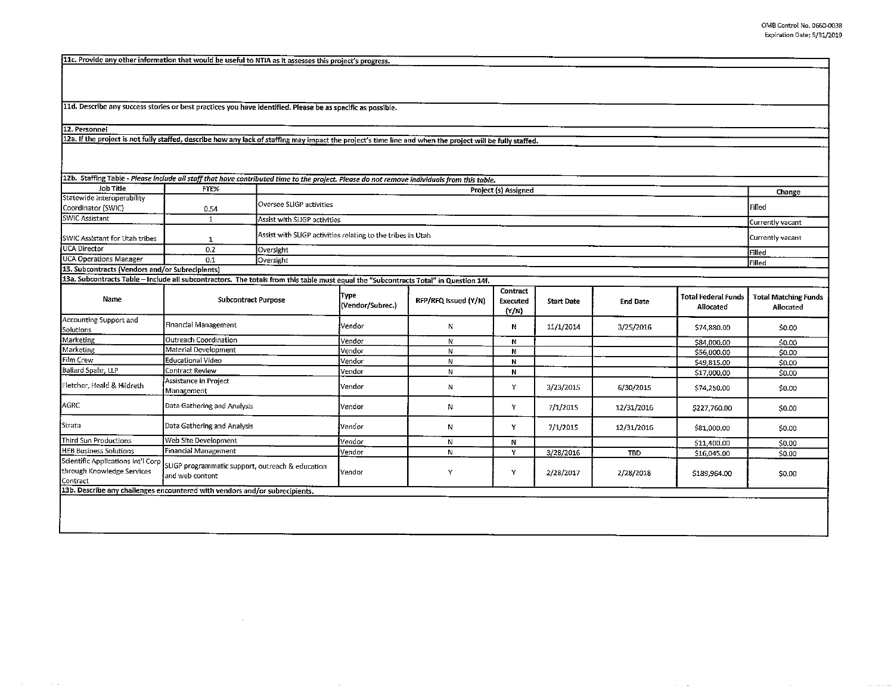$\alpha$  ,  $\alpha$  ,  $\alpha$ 

 $\alpha$  , and  $\alpha$  , and  $\alpha$ 

 $\sim$ 

11c. Provide any other information that would be useful to NTIA as it assesses this project's progress.

11d. Describe any success stories or best practices you have identified. Please be as specific as possible.

 $\sim$ 

 $\sim$ 

12. Personnel

12a. If the project is not fully staffed, describe how any lack of staffing may impact the project's time line and when the project will be fully staffed.

| 12b. Staffing Table - Please include all staff that have contributed time to the project. Please do not remove individuals from this table. |                                                                     |                                                                                 |                          |                      |                               |                   |                 |                                         |                                          |
|---------------------------------------------------------------------------------------------------------------------------------------------|---------------------------------------------------------------------|---------------------------------------------------------------------------------|--------------------------|----------------------|-------------------------------|-------------------|-----------------|-----------------------------------------|------------------------------------------|
| Job Title                                                                                                                                   | FTE%                                                                |                                                                                 |                          |                      |                               |                   |                 |                                         |                                          |
| Statewide Interoperability                                                                                                                  |                                                                     | Project (s) Assigned                                                            |                          |                      |                               |                   |                 |                                         | Change                                   |
| Coordinator (SWIC)                                                                                                                          | 0.54                                                                | Oversee SLIGP activities<br><b>IFilled</b>                                      |                          |                      |                               |                   |                 |                                         |                                          |
| <b>SWIC Assistant</b>                                                                                                                       | $\mathbf{1}$                                                        | Assist with SLIGP activities                                                    | Currently vacant         |                      |                               |                   |                 |                                         |                                          |
| SWIC Assistant for Utah tribes                                                                                                              | 1                                                                   | Assist with SLIGP activities relating to the tribes in Utah<br>Currently vacant |                          |                      |                               |                   |                 |                                         |                                          |
| <b>UCA Director</b>                                                                                                                         | 0.2                                                                 | Oversight                                                                       |                          |                      |                               |                   |                 |                                         | Filled                                   |
| <b>UCA Operations Manager</b>                                                                                                               | 0.1                                                                 | Oversight                                                                       |                          |                      |                               |                   |                 |                                         | Filled                                   |
| 13. Subcontracts (Vendors and/or Subrecipients)                                                                                             |                                                                     |                                                                                 |                          |                      |                               |                   |                 |                                         |                                          |
| 13a. Subcontracts Table - Include all subcontractors. The totals from this table must equal the "Subcontracts Total" in Question 14f.       |                                                                     |                                                                                 |                          |                      |                               |                   |                 |                                         |                                          |
| Name                                                                                                                                        | <b>Subcontract Purpose</b>                                          |                                                                                 | Түре<br>(Vendor/Subrec.) | RFP/RFQ Issued (Y/N) | Contract<br>Executed<br>(Y/N) | <b>Start Date</b> | <b>End Date</b> | <b>Total Federal Funds</b><br>Allocated | <b>Total Matching Funds</b><br>Allocated |
| Accounting Support and<br>Solutions                                                                                                         | Financial Management                                                |                                                                                 | Vendor                   | N                    | N                             | 11/1/2014         | 3/25/2016       | \$74,880.00                             | \$0.00                                   |
| Marketing                                                                                                                                   | Outreach Coordination                                               |                                                                                 | Vendor                   | N                    | N                             |                   |                 | \$84,000.00                             | \$0.00                                   |
| Marketing                                                                                                                                   | Material Development                                                |                                                                                 | Vendor                   | N                    | N                             |                   |                 | \$56,000.00                             | \$0.00                                   |
| Film Crew                                                                                                                                   | Educational Video                                                   |                                                                                 | Vendor                   | N                    | N                             |                   |                 | \$49,815.00                             | \$0.00                                   |
| Ballard Spahr, LLP                                                                                                                          | Contract Review                                                     |                                                                                 | Vendor                   | N                    | N                             |                   |                 | \$17,000.00                             | \$0.00                                   |
| Fletcher, Heald & Hildreth                                                                                                                  | Assistance in Project<br>Management                                 |                                                                                 | Vendor                   | N                    | Υ                             | 3/23/2015         | 6/30/2015       | \$74,250.00                             | \$0.00                                   |
| AGRC                                                                                                                                        | Data Gathering and Analysis                                         |                                                                                 | Vendor                   | N                    | Y                             | 7/1/2015          | 12/31/2016      | \$227 760.00                            | \$0.00                                   |
| Strata                                                                                                                                      | Data Gathering and Analysis                                         |                                                                                 | Vendor                   | N                    | Y                             | 7/1/2015          | 12/31/2016      | \$81,000.00                             | <b>S0.00</b>                             |
| Third Sun Productions                                                                                                                       | Web Site Development                                                |                                                                                 | Vendor                   | ${\sf N}$            | N                             |                   |                 | \$11,400.00                             | \$0.00                                   |
| <b>HEB Business Solutions</b>                                                                                                               | Financial Management                                                |                                                                                 | Vendor                   | N                    | Y                             | 3/28/2016         | <b>TBD</b>      | \$16,045.00                             | \$0.00                                   |
| Scientific Applications Int'l Corp<br>through Knowledge Services<br>Contract                                                                | SLIGP programmatic support, outreach & education<br>and web content |                                                                                 | Vendor                   | Y                    | Υ                             | 2/28/2017         | 2/28/2018       | \$189,964.00                            | \$0.00                                   |
| 13b. Describe any challenges encountered with vendors and/or subrecipients.                                                                 |                                                                     |                                                                                 |                          |                      |                               |                   |                 |                                         |                                          |
|                                                                                                                                             |                                                                     |                                                                                 |                          |                      |                               |                   |                 |                                         |                                          |